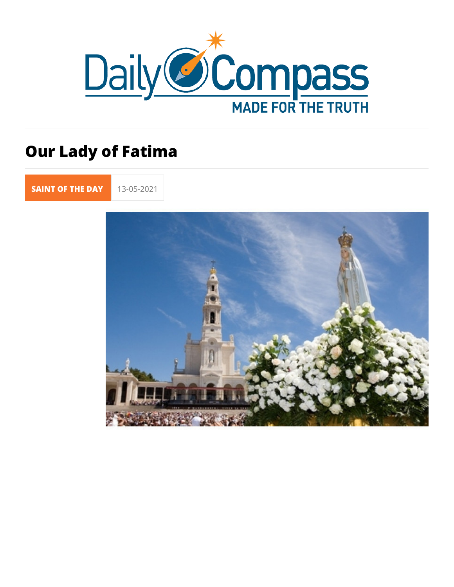# Our Lady of Fatima

[SAINT OF TH](https://newdailycompass.com/en/santi-del-giorno)E 13-05-2021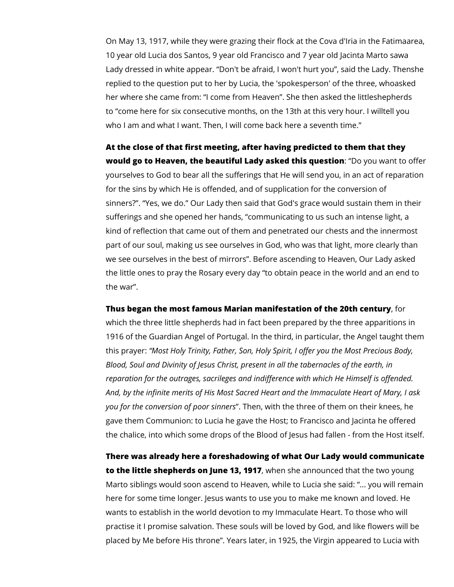On May 13, 1917, while they were grazing their flock at the Cova d'Iria in the Fatimaarea, 10 year old Lucia dos Santos, 9 year old Francisco and 7 year old Jacinta Marto sawa Lady dressed in white appear. "Don't be afraid, I won't hurt you", said the Lady. Thenshe replied to the question put to her by Lucia, the 'spokesperson' of the three, whoasked her where she came from: "I come from Heaven". She then asked the littleshepherds to "come here for six consecutive months, on the 13th at this very hour. I willtell you who I am and what I want. Then, I will come back here a seventh time."

**At the close of that first meeting, after having predicted to them that they would go to Heaven, the beautiful Lady asked this question**: "Do you want to offer yourselves to God to bear all the sufferings that He will send you, in an act of reparation for the sins by which He is offended, and of supplication for the conversion of sinners?". "Yes, we do." Our Lady then said that God's grace would sustain them in their sufferings and she opened her hands, "communicating to us such an intense light, a kind of reflection that came out of them and penetrated our chests and the innermost part of our soul, making us see ourselves in God, who was that light, more clearly than we see ourselves in the best of mirrors". Before ascending to Heaven, Our Lady asked the little ones to pray the Rosary every day "to obtain peace in the world and an end to the war".

### **Thus began the most famous Marian manifestation of the 20th century**, for

which the three little shepherds had in fact been prepared by the three apparitions in 1916 of the Guardian Angel of Portugal. In the third, in particular, the Angel taught them this prayer: *"Most Holy Trinity, Father, Son, Holy Spirit, I offer you the Most Precious Body, Blood, Soul and Divinity of Jesus Christ, present in all the tabernacles of the earth, in reparation for the outrages, sacrileges and indifference with which He Himself is offended. And, by the infinite merits of His Most Sacred Heart and the Immaculate Heart of Mary, I ask you for the conversion of poor sinners*". Then, with the three of them on their knees, he gave them Communion: to Lucia he gave the Host; to Francisco and Jacinta he offered the chalice, into which some drops of the Blood of Jesus had fallen - from the Host itself.

**There was already here a foreshadowing of what Our Lady would communicate to the little shepherds on June 13, 1917**, when she announced that the two young Marto siblings would soon ascend to Heaven, while to Lucia she said: "... you will remain here for some time longer. Jesus wants to use you to make me known and loved. He wants to establish in the world devotion to my Immaculate Heart. To those who will practise it I promise salvation. These souls will be loved by God, and like flowers will be placed by Me before His throne". Years later, in 1925, the Virgin appeared to Lucia with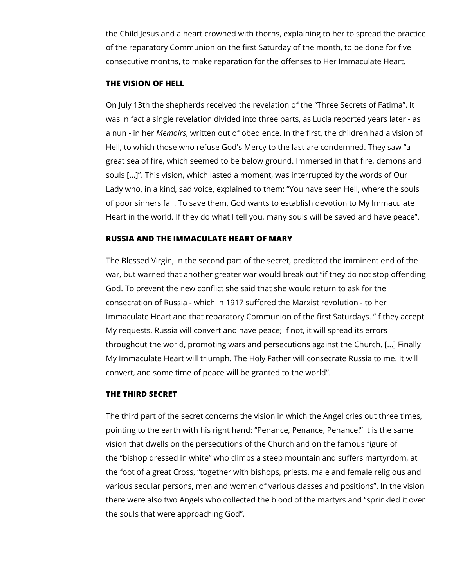the Child Jesus and a heart crowned with thorns, explaining to her to spread the practice of the reparatory Communion on the first Saturday of the month, to be done for five consecutive months, to make reparation for the offenses to Her Immaculate Heart.

## **THE VISION OF HELL**

On July 13th the shepherds received the revelation of the "Three Secrets of Fatima". It was in fact a single revelation divided into three parts, as Lucia reported years later - as a nun - in her *Memoirs*, written out of obedience. In the first, the children had a vision of Hell, to which those who refuse God's Mercy to the last are condemned. They saw "a great sea of fire, which seemed to be below ground. Immersed in that fire, demons and souls [...]". This vision, which lasted a moment, was interrupted by the words of Our Lady who, in a kind, sad voice, explained to them: "You have seen Hell, where the souls of poor sinners fall. To save them, God wants to establish devotion to My Immaculate Heart in the world. If they do what I tell you, many souls will be saved and have peace".

# **RUSSIA AND THE IMMACULATE HEART OF MARY**

The Blessed Virgin, in the second part of the secret, predicted the imminent end of the war, but warned that another greater war would break out "if they do not stop offending God. To prevent the new conflict she said that she would return to ask for the consecration of Russia - which in 1917 suffered the Marxist revolution - to her Immaculate Heart and that reparatory Communion of the first Saturdays. "If they accept My requests, Russia will convert and have peace; if not, it will spread its errors throughout the world, promoting wars and persecutions against the Church. [...] Finally My Immaculate Heart will triumph. The Holy Father will consecrate Russia to me. It will convert, and some time of peace will be granted to the world".

## **THE THIRD SECRET**

The third part of the secret concerns the vision in which the Angel cries out three times, pointing to the earth with his right hand: "Penance, Penance, Penance!" It is the same vision that dwells on the persecutions of the Church and on the famous figure of the "bishop dressed in white" who climbs a steep mountain and suffers martyrdom, at the foot of a great Cross, "together with bishops, priests, male and female religious and various secular persons, men and women of various classes and positions". In the vision there were also two Angels who collected the blood of the martyrs and "sprinkled it over the souls that were approaching God".